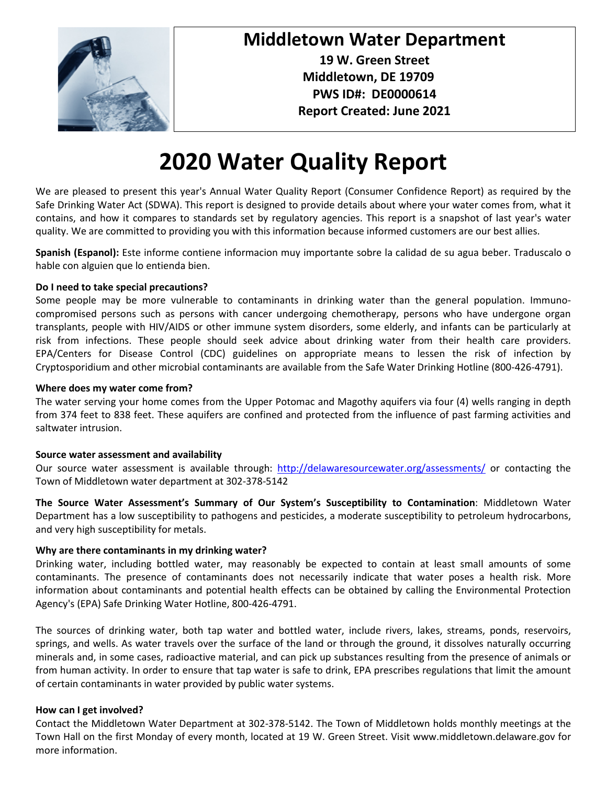

### **Middletown Water Department**

**19 W. Green Street Middletown, DE 19709 PWS ID#: DE0000614 Report Created: June 2021**

# **2020 Water Quality Report**

We are pleased to present this year's Annual Water Quality Report (Consumer Confidence Report) as required by the Safe Drinking Water Act (SDWA). This report is designed to provide details about where your water comes from, what it contains, and how it compares to standards set by regulatory agencies. This report is a snapshot of last year's water quality. We are committed to providing you with this information because informed customers are our best allies.

**Spanish (Espanol):** Este informe contiene informacion muy importante sobre la calidad de su agua beber. Traduscalo o hable con alguien que lo entienda bien.

#### **Do I need to take special precautions?**

Some people may be more vulnerable to contaminants in drinking water than the general population. Immunocompromised persons such as persons with cancer undergoing chemotherapy, persons who have undergone organ transplants, people with HIV/AIDS or other immune system disorders, some elderly, and infants can be particularly at risk from infections. These people should seek advice about drinking water from their health care providers. EPA/Centers for Disease Control (CDC) guidelines on appropriate means to lessen the risk of infection by Cryptosporidium and other microbial contaminants are available from the Safe Water Drinking Hotline (800-426-4791).

#### **Where does my water come from?**

The water serving your home comes from the Upper Potomac and Magothy aquifers via four (4) wells ranging in depth from 374 feet to 838 feet. These aquifers are confined and protected from the influence of past farming activities and saltwater intrusion.

#### **Source water assessment and availability**

Our source water assessment is available through: <http://delawaresourcewater.org/assessments/> or contacting the Town of Middletown water department at 302-378-5142

**The Source Water Assessment's Summary of Our System's Susceptibility to Contamination**: Middletown Water Department has a low susceptibility to pathogens and pesticides, a moderate susceptibility to petroleum hydrocarbons, and very high susceptibility for metals.

#### **Why are there contaminants in my drinking water?**

Drinking water, including bottled water, may reasonably be expected to contain at least small amounts of some contaminants. The presence of contaminants does not necessarily indicate that water poses a health risk. More information about contaminants and potential health effects can be obtained by calling the Environmental Protection Agency's (EPA) Safe Drinking Water Hotline, 800-426-4791.

The sources of drinking water, both tap water and bottled water, include rivers, lakes, streams, ponds, reservoirs, springs, and wells. As water travels over the surface of the land or through the ground, it dissolves naturally occurring minerals and, in some cases, radioactive material, and can pick up substances resulting from the presence of animals or from human activity. In order to ensure that tap water is safe to drink, EPA prescribes regulations that limit the amount of certain contaminants in water provided by public water systems.

#### **How can I get involved?**

Contact the Middletown Water Department at 302-378-5142. The Town of Middletown holds monthly meetings at the Town Hall on the first Monday of every month, located at 19 W. Green Street. Visit www.middletown.delaware.gov for more information.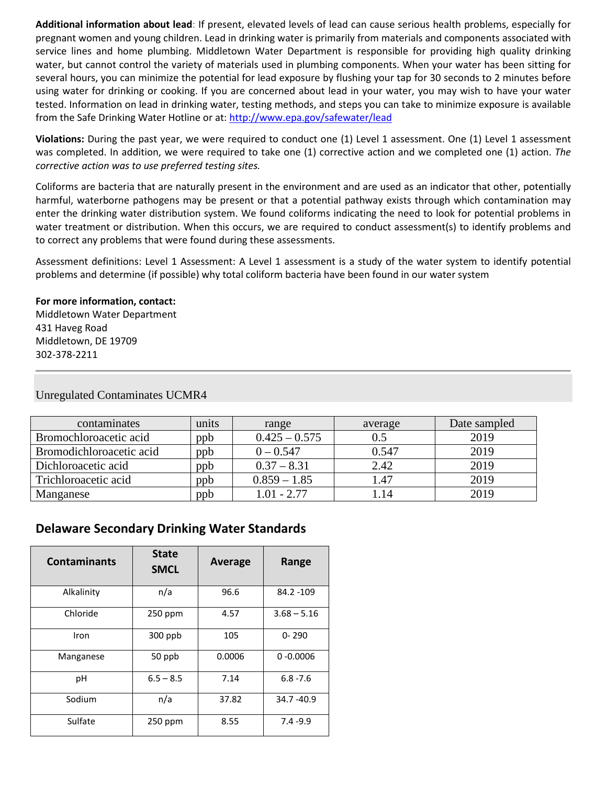**Additional information about lead**: If present, elevated levels of lead can cause serious health problems, especially for pregnant women and young children. Lead in drinking water is primarily from materials and components associated with service lines and home plumbing. Middletown Water Department is responsible for providing high quality drinking water, but cannot control the variety of materials used in plumbing components. When your water has been sitting for several hours, you can minimize the potential for lead exposure by flushing your tap for 30 seconds to 2 minutes before using water for drinking or cooking. If you are concerned about lead in your water, you may wish to have your water tested. Information on lead in drinking water, testing methods, and steps you can take to minimize exposure is available from the Safe Drinking Water Hotline or at:<http://www.epa.gov/safewater/lead>

**Violations:** During the past year, we were required to conduct one (1) Level 1 assessment. One (1) Level 1 assessment was completed. In addition, we were required to take one (1) corrective action and we completed one (1) action. *The corrective action was to use preferred testing sites.*

Coliforms are bacteria that are naturally present in the environment and are used as an indicator that other, potentially harmful, waterborne pathogens may be present or that a potential pathway exists through which contamination may enter the drinking water distribution system. We found coliforms indicating the need to look for potential problems in water treatment or distribution. When this occurs, we are required to conduct assessment(s) to identify problems and to correct any problems that were found during these assessments.

Assessment definitions: Level 1 Assessment: A Level 1 assessment is a study of the water system to identify potential problems and determine (if possible) why total coliform bacteria have been found in our water system

#### **For more information, contact:**

Middletown Water Department 431 Haveg Road Middletown, DE 19709 302-378-2211

| contaminates             | units | range           | average | Date sampled |
|--------------------------|-------|-----------------|---------|--------------|
| Bromochloroacetic acid   | ppb   | $0.425 - 0.575$ |         | 2019         |
| Bromodichloroacetic acid | ppb   | $0 - 0.547$     | 0.547   | 2019         |
| Dichloroacetic acid      | ppb   | $0.37 - 8.31$   | 2.42    | 2019         |
| Trichloroacetic acid     | ppb   | $0.859 - 1.85$  | .47     | 2019         |
| Manganese                | ppb   | 1.01 - 2.77     | .14     | 2019         |

#### Unregulated Contaminates UCMR4

#### **Delaware Secondary Drinking Water Standards**

| <b>Contaminants</b> | <b>State</b><br><b>SMCL</b> | Average | Range         |
|---------------------|-----------------------------|---------|---------------|
| Alkalinity          | n/a                         | 96.6    | 84.2 - 109    |
| Chloride            | 250 ppm                     | 4.57    | $3.68 - 5.16$ |
| Iron                | $300$ ppb                   | 105     | $0 - 290$     |
| Manganese           | 50 ppb                      | 0.0006  | $0 - 0.0006$  |
| pH                  | $6.5 - 8.5$                 | 7.14    | $6.8 - 7.6$   |
| Sodium              | n/a                         | 37.82   | 34.7 - 40.9   |
| Sulfate             | 250 ppm                     | 8.55    | $7.4 - 9.9$   |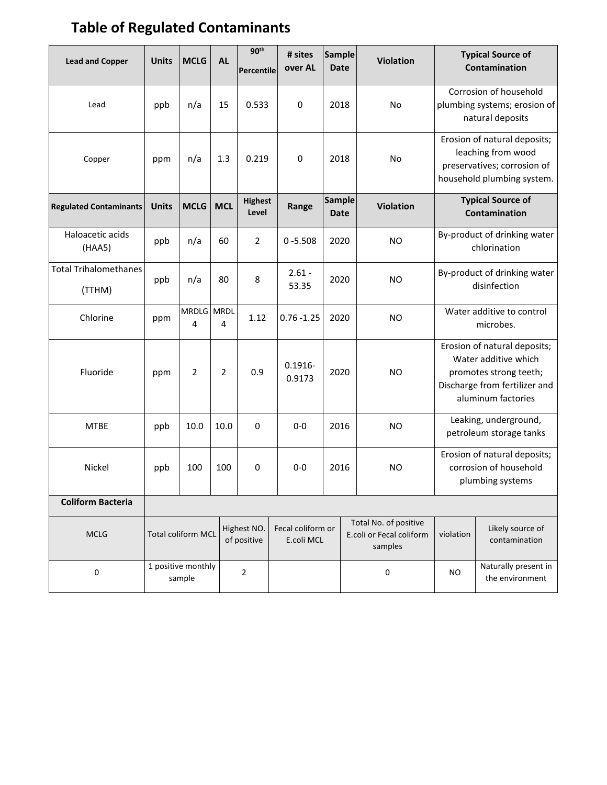# **Table of Regulated Contaminants**

| <b>Lead and Copper</b>                 | <b>Units</b>                                   | <b>MCLG</b>                                             | <b>AL</b>      | 90 <sup>th</sup><br>Percentile | # sites<br>over AL              | <b>Sample</b><br><b>Date</b> |                                                              | <b>Violation</b> |                                                                                                                                       | <b>Typical Source of</b><br>Contamination |
|----------------------------------------|------------------------------------------------|---------------------------------------------------------|----------------|--------------------------------|---------------------------------|------------------------------|--------------------------------------------------------------|------------------|---------------------------------------------------------------------------------------------------------------------------------------|-------------------------------------------|
| Lead                                   | ppb                                            | n/a                                                     | 15             | 0.533                          | $\mathbf 0$                     | 2018                         |                                                              | <b>No</b>        | Corrosion of household<br>plumbing systems; erosion of<br>natural deposits                                                            |                                           |
| Copper                                 | ppm                                            | n/a                                                     | 1.3            | 0.219                          | $\mathbf 0$                     | 2018                         |                                                              | No               | Erosion of natural deposits;<br>leaching from wood<br>preservatives; corrosion of<br>household plumbing system.                       |                                           |
| <b>Regulated Contaminants</b>          | <b>Units</b>                                   | <b>MCLG</b>                                             | <b>MCL</b>     | <b>Highest</b><br>Level        | Range                           | <b>Sample</b><br><b>Date</b> |                                                              | <b>Violation</b> | <b>Typical Source of</b><br>Contamination                                                                                             |                                           |
| Haloacetic acids<br>(HAA5)             | ppb                                            | n/a                                                     | 60             | 2                              | $0 - 5.508$                     | 2020                         |                                                              | <b>NO</b>        | By-product of drinking water<br>chlorination                                                                                          |                                           |
| <b>Total Trihalomethanes</b><br>(TTHM) | ppb                                            | n/a                                                     | 80             | 8                              | $2.61 -$<br>53.35               | 2020                         |                                                              | <b>NO</b>        | By-product of drinking water<br>disinfection                                                                                          |                                           |
| Chlorine                               | ppm                                            | MRDLG MRDL<br>4                                         | 4              | 1.12                           | $0.76 - 1.25$                   | 2020                         |                                                              | <b>NO</b>        | Water additive to control<br>microbes.                                                                                                |                                           |
| Fluoride                               | ppm                                            | $\overline{2}$                                          | $\overline{2}$ | 0.9                            | $0.1916 -$<br>0.9173            | 2020                         |                                                              | <b>NO</b>        | Erosion of natural deposits;<br>Water additive which<br>promotes strong teeth;<br>Discharge from fertilizer and<br>aluminum factories |                                           |
| <b>MTBE</b>                            | ppb                                            | 10.0                                                    | 10.0           | $\mathbf 0$                    | $0-0$                           | 2016                         |                                                              | <b>NO</b>        | Leaking, underground,<br>petroleum storage tanks                                                                                      |                                           |
| Nickel                                 | ppb                                            | 100                                                     | 100            | 0                              | $0-0$                           | 2016                         |                                                              | <b>NO</b>        | Erosion of natural deposits;<br>corrosion of household<br>plumbing systems                                                            |                                           |
| <b>Coliform Bacteria</b>               |                                                |                                                         |                |                                |                                 |                              |                                                              |                  |                                                                                                                                       |                                           |
| <b>MCLG</b>                            |                                                | Highest NO.<br><b>Total coliform MCL</b><br>of positive |                |                                | Fecal coliform or<br>E.coli MCL |                              | Total No. of positive<br>E.coli or Fecal coliform<br>samples |                  | violation                                                                                                                             | Likely source of<br>contamination         |
| $\mathsf 0$                            | 1 positive monthly<br>$\overline{2}$<br>sample |                                                         |                |                                |                                 |                              | 0                                                            | <b>NO</b>        | Naturally present in<br>the environment                                                                                               |                                           |